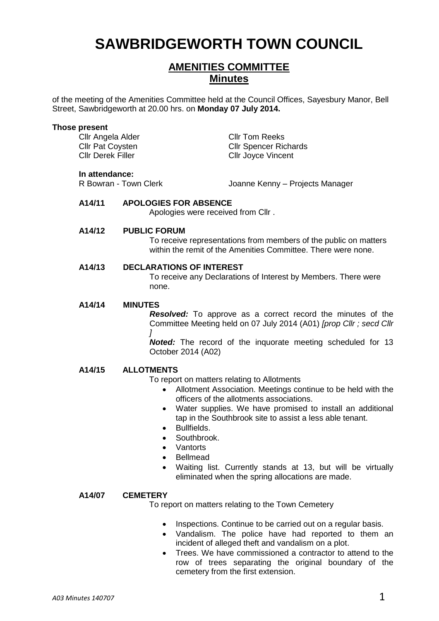# **SAWBRIDGEWORTH TOWN COUNCIL**

# **AMENITIES COMMITTEE Minutes**

of the meeting of the Amenities Committee held at the Council Offices, Sayesbury Manor, Bell Street, Sawbridgeworth at 20.00 hrs. on **Monday 07 July 2014.**

#### **Those present**

Cllr Angela Alder Cllr Tom Reeks

Cllr Pat Coysten Cllr Spencer Richards<br>Cllr Derek Filler Cllr Cllr Jovce Vincent Cllr Joyce Vincent

**In attendance:**<br>R Bowran - Town Clerk

Joanne Kenny – Projects Manager

## **A14/11 APOLOGIES FOR ABSENCE**

Apologies were received from Cllr .

#### **A14/12 PUBLIC FORUM**

To receive representations from members of the public on matters within the remit of the Amenities Committee. There were none.

#### **A14/13 DECLARATIONS OF INTEREST**

To receive any Declarations of Interest by Members. There were none.

#### **A14/14 MINUTES**

*Resolved:* To approve as a correct record the minutes of the Committee Meeting held on 07 July 2014 (A01) *[prop Cllr ; secd Cllr ]*

*Noted:* The record of the inquorate meeting scheduled for 13 October 2014 (A02)

### **A14/15 ALLOTMENTS**

To report on matters relating to Allotments

- Allotment Association. Meetings continue to be held with the officers of the allotments associations.
- Water supplies. We have promised to install an additional tap in the Southbrook site to assist a less able tenant.
- **•** Bullfields.
- Southbrook.
- Vantorts
- Bellmead
- Waiting list. Currently stands at 13, but will be virtually eliminated when the spring allocations are made.

### **A14/07 CEMETERY**

To report on matters relating to the Town Cemetery

- Inspections. Continue to be carried out on a regular basis.
- Vandalism. The police have had reported to them an incident of alleged theft and vandalism on a plot.
- Trees. We have commissioned a contractor to attend to the row of trees separating the original boundary of the cemetery from the first extension.